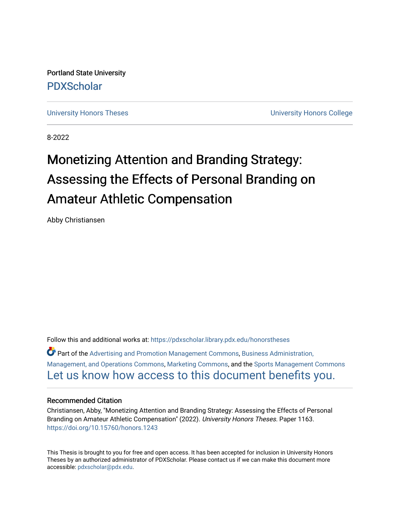Portland State University [PDXScholar](https://pdxscholar.library.pdx.edu/)

[University Honors Theses](https://pdxscholar.library.pdx.edu/honorstheses) **University Honors College** 

8-2022

# Monetizing Attention and Branding Strategy: Assessing the Effects of Personal Branding on Amateur Athletic Compensation

Abby Christiansen

Follow this and additional works at: [https://pdxscholar.library.pdx.edu/honorstheses](https://pdxscholar.library.pdx.edu/honorstheses?utm_source=pdxscholar.library.pdx.edu%2Fhonorstheses%2F1163&utm_medium=PDF&utm_campaign=PDFCoverPages)  Part of the [Advertising and Promotion Management Commons,](https://network.bepress.com/hgg/discipline/626?utm_source=pdxscholar.library.pdx.edu%2Fhonorstheses%2F1163&utm_medium=PDF&utm_campaign=PDFCoverPages) [Business Administration,](https://network.bepress.com/hgg/discipline/623?utm_source=pdxscholar.library.pdx.edu%2Fhonorstheses%2F1163&utm_medium=PDF&utm_campaign=PDFCoverPages) [Management, and Operations Commons](https://network.bepress.com/hgg/discipline/623?utm_source=pdxscholar.library.pdx.edu%2Fhonorstheses%2F1163&utm_medium=PDF&utm_campaign=PDFCoverPages), [Marketing Commons](https://network.bepress.com/hgg/discipline/638?utm_source=pdxscholar.library.pdx.edu%2Fhonorstheses%2F1163&utm_medium=PDF&utm_campaign=PDFCoverPages), and the [Sports Management Commons](https://network.bepress.com/hgg/discipline/1193?utm_source=pdxscholar.library.pdx.edu%2Fhonorstheses%2F1163&utm_medium=PDF&utm_campaign=PDFCoverPages) [Let us know how access to this document benefits you.](http://library.pdx.edu/services/pdxscholar-services/pdxscholar-feedback/) 

#### Recommended Citation

Christiansen, Abby, "Monetizing Attention and Branding Strategy: Assessing the Effects of Personal Branding on Amateur Athletic Compensation" (2022). University Honors Theses. Paper 1163. <https://doi.org/10.15760/honors.1243>

This Thesis is brought to you for free and open access. It has been accepted for inclusion in University Honors Theses by an authorized administrator of PDXScholar. Please contact us if we can make this document more accessible: [pdxscholar@pdx.edu.](mailto:pdxscholar@pdx.edu)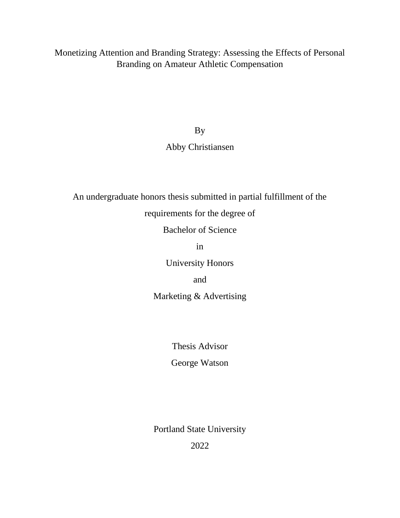Monetizing Attention and Branding Strategy: Assessing the Effects of Personal Branding on Amateur Athletic Compensation

By

### Abby Christiansen

An undergraduate honors thesis submitted in partial fulfillment of the

requirements for the degree of

Bachelor of Science

in

University Honors

and

Marketing & Advertising

Thesis Advisor

George Watson

Portland State University

2022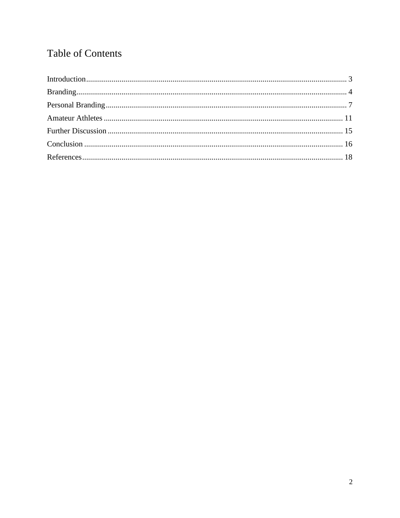## **Table of Contents**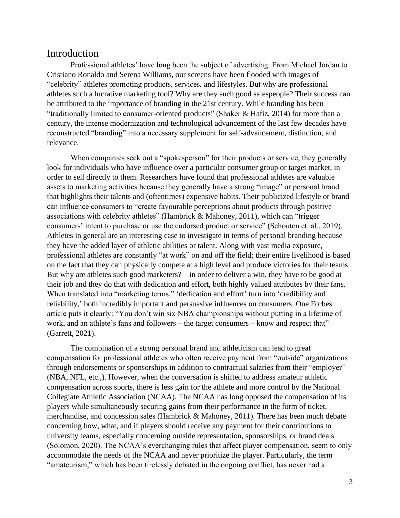#### <span id="page-3-0"></span>Introduction

Professional athletes' have long been the subject of advertising. From Michael Jordan to Cristiano Ronaldo and Serena Williams, our screens have been flooded with images of "celebrity" athletes promoting products, services, and lifestyles. But why are professional athletes such a lucrative marketing tool? Why are they such good salespeople? Their success can be attributed to the importance of branding in the 21st century. While branding has been "traditionally limited to consumer-oriented products" (Shaker & Hafiz, 2014) for more than a century, the intense modernization and technological advancement of the last few decades have reconstructed "branding" into a necessary supplement for self-advancement, distinction, and relevance.

When companies seek out a "spokesperson" for their products or service, they generally look for individuals who have influence over a particular consumer group or target market, in order to sell directly to them. Researchers have found that professional athletes are valuable assets to marketing activities because they generally have a strong "image" or personal brand that highlights their talents and (oftentimes) expensive habits. Their publicized lifestyle or brand can influence consumers to "create favourable perceptions about products through positive associations with celebrity athletes" (Hambrick & Mahoney, 2011), which can "trigger consumers' intent to purchase or use the endorsed product or service" (Schouten et. al., 2019). Athletes in general are an interesting case to investigate in terms of personal branding because they have the added layer of athletic abilities or talent. Along with vast media exposure, professional athletes are constantly "at work" on and off the field; their entire livelihood is based on the fact that they can physically compete at a high level and produce victories for their teams. But why are athletes such good marketers? – in order to deliver a win, they have to be good at their job and they do that with dedication and effort, both highly valued attributes by their fans. When translated into "marketing terms," 'dedication and effort' turn into 'credibility and reliability,' both incredibly important and persuasive influences on consumers. One Forbes article puts it clearly: "You don't win six NBA championships without putting in a lifetime of work, and an athlete's fans and followers – the target consumers – know and respect that" (Garrett, 2021).

The combination of a strong personal brand and athleticism can lead to great compensation for professional athletes who often receive payment from "outside" organizations through endorsements or sponsorships in addition to contractual salaries from their "employer" (NBA, NFL, etc.,). However, when the conversation is shifted to address amateur athletic compensation across sports, there is less gain for the athlete and more control by the National Collegiate Athletic Association (NCAA). The NCAA has long opposed the compensation of its players while simultaneously securing gains from their performance in the form of ticket, merchandise, and concession sales (Hambrick & Mahoney, 2011). There has been much debate concerning how, what, and if players should receive any payment for their contributions to university teams, especially concerning outside representation, sponsorships, or brand deals (Solomon, 2020). The NCAA's everchanging rules that affect player compensation, seem to only accommodate the needs of the NCAA and never prioritize the player. Particularly, the term "amateurism," which has been tirelessly debated in the ongoing conflict, has never had a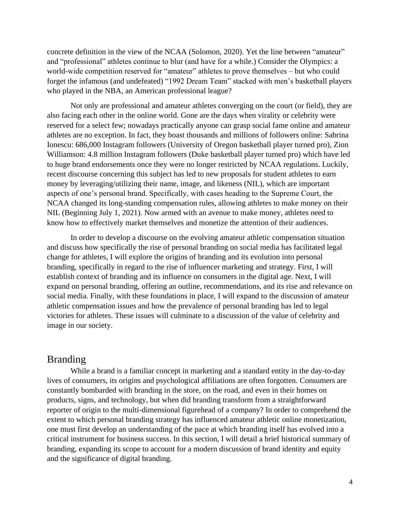concrete definition in the view of the NCAA (Solomon, 2020). Yet the line between "amateur" and "professional" athletes continue to blur (and have for a while.) Consider the Olympics: a world-wide competition reserved for "amateur" athletes to prove themselves – but who could forget the infamous (and undefeated) "1992 Dream Team" stacked with men's basketball players who played in the NBA, an American professional league?

Not only are professional and amateur athletes converging on the court (or field), they are also facing each other in the online world. Gone are the days when virality or celebrity were reserved for a select few; nowadays practically anyone can grasp social fame online and amateur athletes are no exception. In fact, they boast thousands and millions of followers online: Sabrina Ionescu: 686,000 Instagram followers (University of Oregon basketball player turned pro), Zion Williamson: 4.8 million Instagram followers (Duke basketball player turned pro) which have led to huge brand endorsements once they were no longer restricted by NCAA regulations. Luckily, recent discourse concerning this subject has led to new proposals for student athletes to earn money by leveraging/utilizing their name, image, and likeness (NIL), which are important aspects of one's personal brand. Specifically, with cases heading to the Supreme Court, the NCAA changed its long-standing compensation rules, allowing athletes to make money on their NIL (Beginning July 1, 2021). Now armed with an avenue to make money, athletes need to know how to effectively market themselves and monetize the attention of their audiences.

In order to develop a discourse on the evolving amateur athletic compensation situation and discuss how specifically the rise of personal branding on social media has facilitated legal change for athletes, I will explore the origins of branding and its evolution into personal branding, specifically in regard to the rise of influencer marketing and strategy. First, I will establish context of branding and its influence on consumers in the digital age. Next, I will expand on personal branding, offering an outline, recommendations, and its rise and relevance on social media. Finally, with these foundations in place, I will expand to the discussion of amateur athletic compensation issues and how the prevalence of personal branding has led to legal victories for athletes. These issues will culminate to a discussion of the value of celebrity and image in our society.

### <span id="page-4-0"></span>Branding

While a brand is a familiar concept in marketing and a standard entity in the day-to-day lives of consumers, its origins and psychological affiliations are often forgotten. Consumers are constantly bombarded with branding in the store, on the road, and even in their homes on products, signs, and technology, but when did branding transform from a straightforward reporter of origin to the multi-dimensional figurehead of a company? In order to comprehend the extent to which personal branding strategy has influenced amateur athletic online monetization, one must first develop an understanding of the pace at which branding itself has evolved into a critical instrument for business success. In this section, I will detail a brief historical summary of branding, expanding its scope to account for a modern discussion of brand identity and equity and the significance of digital branding.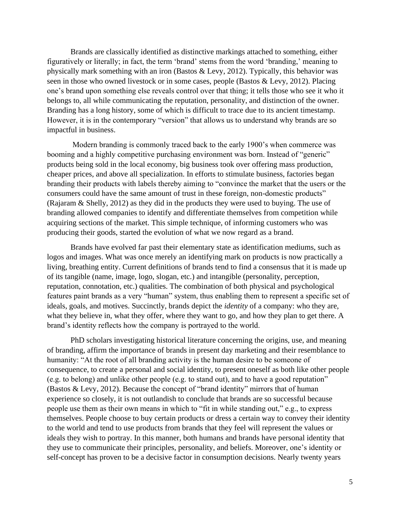Brands are classically identified as distinctive markings attached to something, either figuratively or literally; in fact, the term 'brand' stems from the word 'branding,' meaning to physically mark something with an iron (Bastos & Levy, 2012). Typically, this behavior was seen in those who owned livestock or in some cases, people (Bastos & Levy, 2012). Placing one's brand upon something else reveals control over that thing; it tells those who see it who it belongs to, all while communicating the reputation, personality, and distinction of the owner. Branding has a long history, some of which is difficult to trace due to its ancient timestamp. However, it is in the contemporary "version" that allows us to understand why brands are so impactful in business.

Modern branding is commonly traced back to the early 1900's when commerce was booming and a highly competitive purchasing environment was born. Instead of "generic" products being sold in the local economy, big business took over offering mass production, cheaper prices, and above all specialization. In efforts to stimulate business, factories began branding their products with labels thereby aiming to "convince the market that the users or the consumers could have the same amount of trust in these foreign, non-domestic products" (Rajaram & Shelly, 2012) as they did in the products they were used to buying. The use of branding allowed companies to identify and differentiate themselves from competition while acquiring sections of the market. This simple technique, of informing customers who was producing their goods, started the evolution of what we now regard as a brand.

Brands have evolved far past their elementary state as identification mediums, such as logos and images. What was once merely an identifying mark on products is now practically a living, breathing entity. Current definitions of brands tend to find a consensus that it is made up of its tangible (name, image, logo, slogan, etc.) and intangible (personality, perception, reputation, connotation, etc.) qualities. The combination of both physical and psychological features paint brands as a very "human" system, thus enabling them to represent a specific set of ideals, goals, and motives. Succinctly, brands depict the *identity* of a company: who they are, what they believe in, what they offer, where they want to go, and how they plan to get there. A brand's identity reflects how the company is portrayed to the world.

PhD scholars investigating historical literature concerning the origins, use, and meaning of branding, affirm the importance of brands in present day marketing and their resemblance to humanity: "At the root of all branding activity is the human desire to be someone of consequence, to create a personal and social identity, to present oneself as both like other people (e.g. to belong) and unlike other people (e.g. to stand out), and to have a good reputation" (Bastos & Levy, 2012). Because the concept of "brand identity" mirrors that of human experience so closely, it is not outlandish to conclude that brands are so successful because people use them as their own means in which to "fit in while standing out," e.g., to express themselves. People choose to buy certain products or dress a certain way to convey their identity to the world and tend to use products from brands that they feel will represent the values or ideals they wish to portray. In this manner, both humans and brands have personal identity that they use to communicate their principles, personality, and beliefs. Moreover, one's identity or self-concept has proven to be a decisive factor in consumption decisions. Nearly twenty years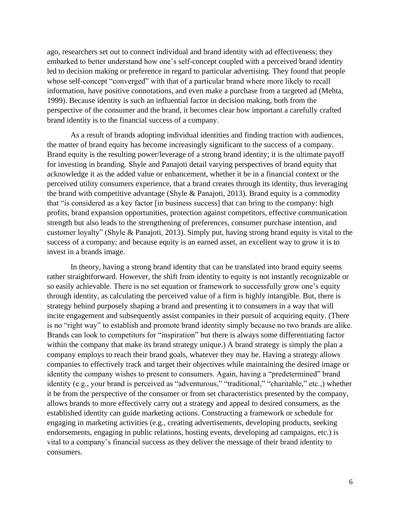ago, researchers set out to connect individual and brand identity with ad effectiveness; they embarked to better understand how one's self-concept coupled with a perceived brand identity led to decision making or preference in regard to particular advertising. They found that people whose self-concept "converged" with that of a particular brand where more likely to recall information, have positive connotations, and even make a purchase from a targeted ad (Mehta, 1999). Because identity is such an influential factor in decision making, both from the perspective of the consumer and the brand, it becomes clear how important a carefully crafted brand identity is to the financial success of a company.

As a result of brands adopting individual identities and finding traction with audiences, the matter of brand equity has become increasingly significant to the success of a company. Brand equity is the resulting power/leverage of a strong brand identity; it is the ultimate payoff for investing in branding. Shyle and Panajoti detail varying perspectives of brand equity that acknowledge it as the added value or enhancement, whether it be in a financial context or the perceived utility consumers experience, that a brand creates through its identity, thus leveraging the brand with competitive advantage (Shyle & Panajoti, 2013). Brand equity is a commodity that "is considered as a key factor [in business success] that can bring to the company: high profits, brand expansion opportunities, protection against competitors, effective communication strength but also leads to the strengthening of preferences, consumer purchase intention, and customer loyalty" (Shyle & Panajoti, 2013). Simply put, having strong brand equity is vital to the success of a company; and because equity is an earned asset, an excellent way to grow it is to invest in a brands image.

In theory, having a strong brand identity that can be translated into brand equity seems rather straightforward. However, the shift from identity to equity is not instantly recognizable or so easily achievable. There is no set equation or framework to successfully grow one's equity through identity, as calculating the perceived value of a firm is highly intangible. But, there is strategy behind purposely shaping a brand and presenting it to consumers in a way that will incite engagement and subsequently assist companies in their pursuit of acquiring equity. (There is no "right way" to establish and promote brand identity simply because no two brands are alike. Brands can look to competitors for "inspiration" but there is always some differentiating factor within the company that make its brand strategy unique.) A brand strategy is simply the plan a company employs to reach their brand goals, whatever they may be. Having a strategy allows companies to effectively track and target their objectives while maintaining the desired image or identity the company wishes to present to consumers. Again, having a "predetermined" brand identity (e.g., your brand is perceived as "adventurous," "traditional," "charitable," etc.,) whether it be from the perspective of the consumer or from set characteristics presented by the company, allows brands to more effectively carry out a strategy and appeal to desired consumers, as the established identity can guide marketing actions. Constructing a framework or schedule for engaging in marketing activities (e.g., creating advertisements, developing products, seeking endorsements, engaging in public relations, hosting events, developing ad campaigns, etc.) is vital to a company's financial success as they deliver the message of their brand identity to consumers.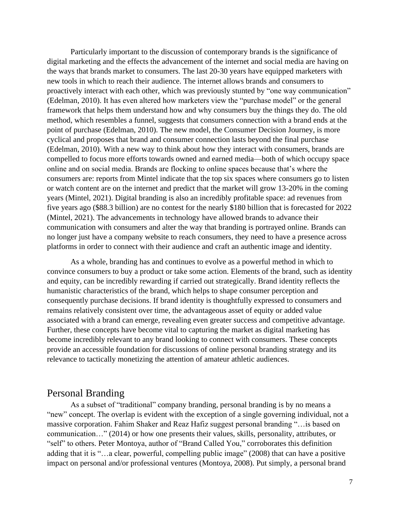Particularly important to the discussion of contemporary brands is the significance of digital marketing and the effects the advancement of the internet and social media are having on the ways that brands market to consumers. The last 20-30 years have equipped marketers with new tools in which to reach their audience. The internet allows brands and consumers to proactively interact with each other, which was previously stunted by "one way communication" (Edelman, 2010). It has even altered how marketers view the "purchase model" or the general framework that helps them understand how and why consumers buy the things they do. The old method, which resembles a funnel, suggests that consumers connection with a brand ends at the point of purchase (Edelman, 2010). The new model, the Consumer Decision Journey, is more cyclical and proposes that brand and consumer connection lasts beyond the final purchase (Edelman, 2010). With a new way to think about how they interact with consumers, brands are compelled to focus more efforts towards owned and earned media—both of which occupy space online and on social media. Brands are flocking to online spaces because that's where the consumers are: reports from Mintel indicate that the top six spaces where consumers go to listen or watch content are on the internet and predict that the market will grow 13-20% in the coming years (Mintel, 2021). Digital branding is also an incredibly profitable space: ad revenues from five years ago (\$88.3 billion) are no contest for the nearly \$180 billion that is forecasted for 2022 (Mintel, 2021). The advancements in technology have allowed brands to advance their communication with consumers and alter the way that branding is portrayed online. Brands can no longer just have a company website to reach consumers, they need to have a presence across platforms in order to connect with their audience and craft an authentic image and identity.

As a whole, branding has and continues to evolve as a powerful method in which to convince consumers to buy a product or take some action. Elements of the brand, such as identity and equity, can be incredibly rewarding if carried out strategically. Brand identity reflects the humanistic characteristics of the brand, which helps to shape consumer perception and consequently purchase decisions. If brand identity is thoughtfully expressed to consumers and remains relatively consistent over time, the advantageous asset of equity or added value associated with a brand can emerge, revealing even greater success and competitive advantage. Further, these concepts have become vital to capturing the market as digital marketing has become incredibly relevant to any brand looking to connect with consumers. These concepts provide an accessible foundation for discussions of online personal branding strategy and its relevance to tactically monetizing the attention of amateur athletic audiences.

#### <span id="page-7-0"></span>Personal Branding

As a subset of "traditional" company branding, personal branding is by no means a "new" concept. The overlap is evident with the exception of a single governing individual, not a massive corporation. Fahim Shaker and Reaz Hafiz suggest personal branding "…is based on communication…" (2014) or how one presents their values, skills, personality, attributes, or "self" to others. Peter Montoya, author of "Brand Called You," corroborates this definition adding that it is "…a clear, powerful, compelling public image" (2008) that can have a positive impact on personal and/or professional ventures (Montoya, 2008). Put simply, a personal brand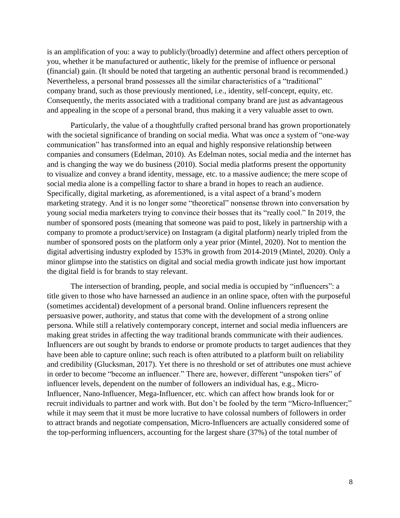is an amplification of you: a way to publicly/(broadly) determine and affect others perception of you, whether it be manufactured or authentic, likely for the premise of influence or personal (financial) gain. (It should be noted that targeting an authentic personal brand is recommended.) Nevertheless, a personal brand possesses all the similar characteristics of a "traditional" company brand, such as those previously mentioned, i.e., identity, self-concept, equity, etc. Consequently, the merits associated with a traditional company brand are just as advantageous and appealing in the scope of a personal brand, thus making it a very valuable asset to own.

Particularly, the value of a thoughtfully crafted personal brand has grown proportionately with the societal significance of branding on social media. What was once a system of "one-way" communication" has transformed into an equal and highly responsive relationship between companies and consumers (Edelman, 2010). As Edelman notes, social media and the internet has and is changing the way we do business (2010). Social media platforms present the opportunity to visualize and convey a brand identity, message, etc. to a massive audience; the mere scope of social media alone is a compelling factor to share a brand in hopes to reach an audience. Specifically, digital marketing, as aforementioned, is a vital aspect of a brand's modern marketing strategy. And it is no longer some "theoretical" nonsense thrown into conversation by young social media marketers trying to convince their bosses that its "really cool." In 2019, the number of sponsored posts (meaning that someone was paid to post, likely in partnership with a company to promote a product/service) on Instagram (a digital platform) nearly tripled from the number of sponsored posts on the platform only a year prior (Mintel, 2020). Not to mention the digital advertising industry exploded by 153% in growth from 2014-2019 (Mintel, 2020). Only a minor glimpse into the statistics on digital and social media growth indicate just how important the digital field is for brands to stay relevant.

The intersection of branding, people, and social media is occupied by "influencers": a title given to those who have harnessed an audience in an online space, often with the purposeful (sometimes accidental) development of a personal brand. Online influencers represent the persuasive power, authority, and status that come with the development of a strong online persona. While still a relatively contemporary concept, internet and social media influencers are making great strides in affecting the way traditional brands communicate with their audiences. Influencers are out sought by brands to endorse or promote products to target audiences that they have been able to capture online; such reach is often attributed to a platform built on reliability and credibility (Glucksman, 2017). Yet there is no threshold or set of attributes one must achieve in order to become "become an influencer." There are, however, different "unspoken tiers" of influencer levels, dependent on the number of followers an individual has, e.g., Micro-Influencer, Nano-Influencer, Mega-Influencer, etc. which can affect how brands look for or recruit individuals to partner and work with. But don't be fooled by the term "Micro-Influencer;" while it may seem that it must be more lucrative to have colossal numbers of followers in order to attract brands and negotiate compensation, Micro-Influencers are actually considered some of the top-performing influencers, accounting for the largest share (37%) of the total number of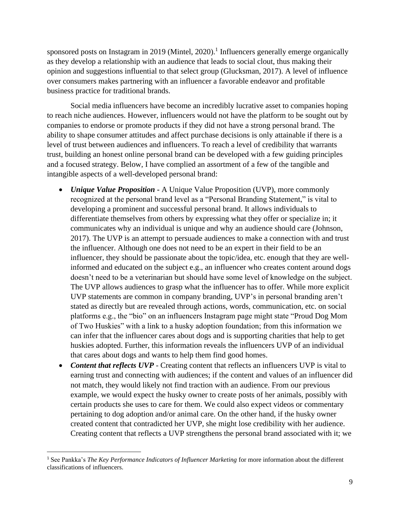sponsored posts on Instagram in 2019 (Mintel, 2020).<sup>1</sup> Influencers generally emerge organically as they develop a relationship with an audience that leads to social clout, thus making their opinion and suggestions influential to that select group (Glucksman, 2017). A level of influence over consumers makes partnering with an influencer a favorable endeavor and profitable business practice for traditional brands.

Social media influencers have become an incredibly lucrative asset to companies hoping to reach niche audiences. However, influencers would not have the platform to be sought out by companies to endorse or promote products if they did not have a strong personal brand. The ability to shape consumer attitudes and affect purchase decisions is only attainable if there is a level of trust between audiences and influencers. To reach a level of credibility that warrants trust, building an honest online personal brand can be developed with a few guiding principles and a focused strategy. Below, I have complied an assortment of a few of the tangible and intangible aspects of a well-developed personal brand:

- *Unique Value Proposition* **-** A Unique Value Proposition (UVP), more commonly recognized at the personal brand level as a "Personal Branding Statement," is vital to developing a prominent and successful personal brand. It allows individuals to differentiate themselves from others by expressing what they offer or specialize in; it communicates why an individual is unique and why an audience should care (Johnson, 2017). The UVP is an attempt to persuade audiences to make a connection with and trust the influencer. Although one does not need to be an expert in their field to be an influencer, they should be passionate about the topic/idea, etc. enough that they are wellinformed and educated on the subject e.g., an influencer who creates content around dogs doesn't need to be a veterinarian but should have some level of knowledge on the subject. The UVP allows audiences to grasp what the influencer has to offer. While more explicit UVP statements are common in company branding, UVP's in personal branding aren't stated as directly but are revealed through actions, words, communication, etc. on social platforms e.g., the "bio" on an influencers Instagram page might state "Proud Dog Mom of Two Huskies" with a link to a husky adoption foundation; from this information we can infer that the influencer cares about dogs and is supporting charities that help to get huskies adopted. Further, this information reveals the influencers UVP of an individual that cares about dogs and wants to help them find good homes.
- *Content that reflects UVP* Creating content that reflects an influencers UVP is vital to earning trust and connecting with audiences; if the content and values of an influencer did not match, they would likely not find traction with an audience. From our previous example, we would expect the husky owner to create posts of her animals, possibly with certain products she uses to care for them. We could also expect videos or commentary pertaining to dog adoption and/or animal care. On the other hand, if the husky owner created content that contradicted her UVP, she might lose credibility with her audience. Creating content that reflects a UVP strengthens the personal brand associated with it; we

<sup>&</sup>lt;sup>1</sup> See Pankka's *The Key Performance Indicators of Influencer Marketing* for more information about the different classifications of influencers.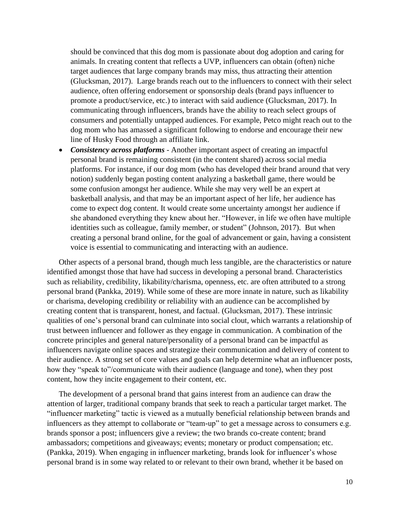should be convinced that this dog mom is passionate about dog adoption and caring for animals. In creating content that reflects a UVP, influencers can obtain (often) niche target audiences that large company brands may miss, thus attracting their attention (Glucksman, 2017). Large brands reach out to the influencers to connect with their select audience, often offering endorsement or sponsorship deals (brand pays influencer to promote a product/service, etc.) to interact with said audience (Glucksman, 2017). In communicating through influencers, brands have the ability to reach select groups of consumers and potentially untapped audiences. For example, Petco might reach out to the dog mom who has amassed a significant following to endorse and encourage their new line of Husky Food through an affiliate link.

• *Consistency across platforms* - Another important aspect of creating an impactful personal brand is remaining consistent (in the content shared) across social media platforms. For instance, if our dog mom (who has developed their brand around that very notion) suddenly began posting content analyzing a basketball game, there would be some confusion amongst her audience. While she may very well be an expert at basketball analysis, and that may be an important aspect of her life, her audience has come to expect dog content. It would create some uncertainty amongst her audience if she abandoned everything they knew about her. "However, in life we often have multiple identities such as colleague, family member, or student" (Johnson, 2017). But when creating a personal brand online, for the goal of advancement or gain, having a consistent voice is essential to communicating and interacting with an audience.

Other aspects of a personal brand, though much less tangible, are the characteristics or nature identified amongst those that have had success in developing a personal brand. Characteristics such as reliability, credibility, likability/charisma, openness, etc. are often attributed to a strong personal brand (Pankka, 2019). While some of these are more innate in nature, such as likability or charisma, developing credibility or reliability with an audience can be accomplished by creating content that is transparent, honest, and factual. (Glucksman, 2017). These intrinsic qualities of one's personal brand can culminate into social clout, which warrants a relationship of trust between influencer and follower as they engage in communication. A combination of the concrete principles and general nature/personality of a personal brand can be impactful as influencers navigate online spaces and strategize their communication and delivery of content to their audience. A strong set of core values and goals can help determine what an influencer posts, how they "speak to"/communicate with their audience (language and tone), when they post content, how they incite engagement to their content, etc.

The development of a personal brand that gains interest from an audience can draw the attention of larger, traditional company brands that seek to reach a particular target market. The "influencer marketing" tactic is viewed as a mutually beneficial relationship between brands and influencers as they attempt to collaborate or "team-up" to get a message across to consumers e.g. brands sponsor a post; influencers give a review; the two brands co-create content; brand ambassadors; competitions and giveaways; events; monetary or product compensation; etc. (Pankka, 2019). When engaging in influencer marketing, brands look for influencer's whose personal brand is in some way related to or relevant to their own brand, whether it be based on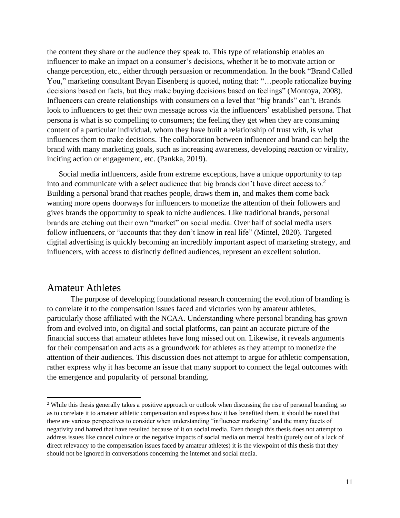the content they share or the audience they speak to. This type of relationship enables an influencer to make an impact on a consumer's decisions, whether it be to motivate action or change perception, etc., either through persuasion or recommendation. In the book "Brand Called You," marketing consultant Bryan Eisenberg is quoted, noting that: "…people rationalize buying decisions based on facts, but they make buying decisions based on feelings" (Montoya, 2008). Influencers can create relationships with consumers on a level that "big brands" can't. Brands look to influencers to get their own message across via the influencers' established persona. That persona is what is so compelling to consumers; the feeling they get when they are consuming content of a particular individual, whom they have built a relationship of trust with, is what influences them to make decisions. The collaboration between influencer and brand can help the brand with many marketing goals, such as increasing awareness, developing reaction or virality, inciting action or engagement, etc. (Pankka, 2019).

Social media influencers, aside from extreme exceptions, have a unique opportunity to tap into and communicate with a select audience that big brands don't have direct access to.<sup>2</sup> Building a personal brand that reaches people, draws them in, and makes them come back wanting more opens doorways for influencers to monetize the attention of their followers and gives brands the opportunity to speak to niche audiences. Like traditional brands, personal brands are etching out their own "market" on social media. Over half of social media users follow influencers, or "accounts that they don't know in real life" (Mintel, 2020). Targeted digital advertising is quickly becoming an incredibly important aspect of marketing strategy, and influencers, with access to distinctly defined audiences, represent an excellent solution.

#### <span id="page-11-0"></span>Amateur Athletes

The purpose of developing foundational research concerning the evolution of branding is to correlate it to the compensation issues faced and victories won by amateur athletes, particularly those affiliated with the NCAA. Understanding where personal branding has grown from and evolved into, on digital and social platforms, can paint an accurate picture of the financial success that amateur athletes have long missed out on. Likewise, it reveals arguments for their compensation and acts as a groundwork for athletes as they attempt to monetize the attention of their audiences. This discussion does not attempt to argue for athletic compensation, rather express why it has become an issue that many support to connect the legal outcomes with the emergence and popularity of personal branding.

<sup>&</sup>lt;sup>2</sup> While this thesis generally takes a positive approach or outlook when discussing the rise of personal branding, so as to correlate it to amateur athletic compensation and express how it has benefited them, it should be noted that there are various perspectives to consider when understanding "influencer marketing" and the many facets of negativity and hatred that have resulted because of it on social media. Even though this thesis does not attempt to address issues like cancel culture or the negative impacts of social media on mental health (purely out of a lack of direct relevancy to the compensation issues faced by amateur athletes) it is the viewpoint of this thesis that they should not be ignored in conversations concerning the internet and social media.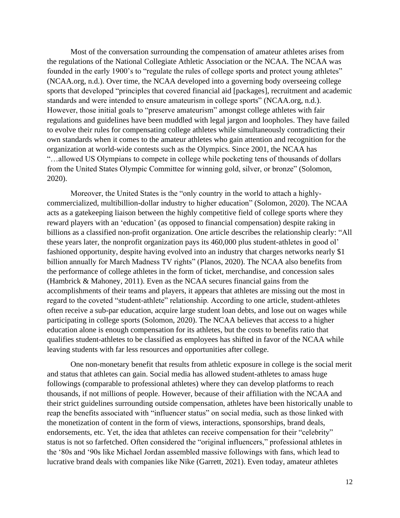Most of the conversation surrounding the compensation of amateur athletes arises from the regulations of the National Collegiate Athletic Association or the NCAA. The NCAA was founded in the early 1900's to "regulate the rules of college sports and protect young athletes" (NCAA.org, n.d.). Over time, the NCAA developed into a governing body overseeing college sports that developed "principles that covered financial aid [packages], recruitment and academic standards and were intended to ensure amateurism in college sports" (NCAA.org, n.d.). However, those initial goals to "preserve amateurism" amongst college athletes with fair regulations and guidelines have been muddled with legal jargon and loopholes. They have failed to evolve their rules for compensating college athletes while simultaneously contradicting their own standards when it comes to the amateur athletes who gain attention and recognition for the organization at world-wide contests such as the Olympics. Since 2001, the NCAA has "…allowed US Olympians to compete in college while pocketing tens of thousands of dollars from the United States Olympic Committee for winning gold, silver, or bronze" (Solomon, 2020).

Moreover, the United States is the "only country in the world to attach a highlycommercialized, multibillion-dollar industry to higher education" (Solomon, 2020). The NCAA acts as a gatekeeping liaison between the highly competitive field of college sports where they reward players with an 'education' (as opposed to financial compensation) despite raking in billions as a classified non-profit organization. One article describes the relationship clearly: "All these years later, the nonprofit organization pays its 460,000 plus student-athletes in good ol' fashioned opportunity, despite having evolved into an industry that charges networks nearly \$1 billion annually for March Madness TV rights" (Planos, 2020). The NCAA also benefits from the performance of college athletes in the form of ticket, merchandise, and concession sales (Hambrick & Mahoney, 2011). Even as the NCAA secures financial gains from the accomplishments of their teams and players, it appears that athletes are missing out the most in regard to the coveted "student-athlete" relationship. According to one article, student-athletes often receive a sub-par education, acquire large student loan debts, and lose out on wages while participating in college sports (Solomon, 2020). The NCAA believes that access to a higher education alone is enough compensation for its athletes, but the costs to benefits ratio that qualifies student-athletes to be classified as employees has shifted in favor of the NCAA while leaving students with far less resources and opportunities after college.

One non-monetary benefit that results from athletic exposure in college is the social merit and status that athletes can gain. Social media has allowed student-athletes to amass huge followings (comparable to professional athletes) where they can develop platforms to reach thousands, if not millions of people. However, because of their affiliation with the NCAA and their strict guidelines surrounding outside compensation, athletes have been historically unable to reap the benefits associated with "influencer status" on social media, such as those linked with the monetization of content in the form of views, interactions, sponsorships, brand deals, endorsements, etc. Yet, the idea that athletes can receive compensation for their "celebrity" status is not so farfetched. Often considered the "original influencers," professional athletes in the '80s and '90s like Michael Jordan assembled massive followings with fans, which lead to lucrative brand deals with companies like Nike (Garrett, 2021). Even today, amateur athletes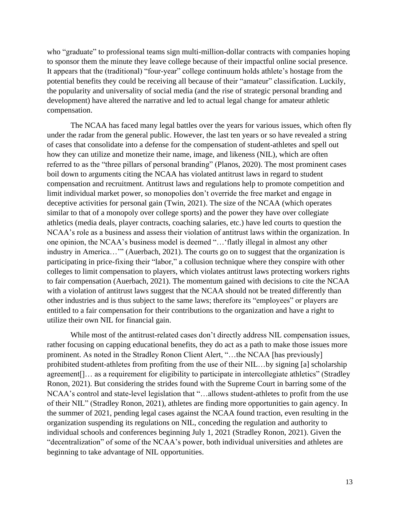who "graduate" to professional teams sign multi-million-dollar contracts with companies hoping to sponsor them the minute they leave college because of their impactful online social presence. It appears that the (traditional) "four-year" college continuum holds athlete's hostage from the potential benefits they could be receiving all because of their "amateur" classification. Luckily, the popularity and universality of social media (and the rise of strategic personal branding and development) have altered the narrative and led to actual legal change for amateur athletic compensation.

The NCAA has faced many legal battles over the years for various issues, which often fly under the radar from the general public. However, the last ten years or so have revealed a string of cases that consolidate into a defense for the compensation of student-athletes and spell out how they can utilize and monetize their name, image, and likeness (NIL), which are often referred to as the "three pillars of personal branding" (Planos, 2020). The most prominent cases boil down to arguments citing the NCAA has violated antitrust laws in regard to student compensation and recruitment. Antitrust laws and regulations help to promote competition and limit individual market power, so monopolies don't override the free market and engage in deceptive activities for personal gain (Twin, 2021). The size of the NCAA (which operates similar to that of a monopoly over college sports) and the power they have over collegiate athletics (media deals, player contracts, coaching salaries, etc.) have led courts to question the NCAA's role as a business and assess their violation of antitrust laws within the organization. In one opinion, the NCAA's business model is deemed "…'flatly illegal in almost any other industry in America..." (Auerbach, 2021). The courts go on to suggest that the organization is participating in price-fixing their "labor," a collusion technique where they conspire with other colleges to limit compensation to players, which violates antitrust laws protecting workers rights to fair compensation (Auerbach, 2021). The momentum gained with decisions to cite the NCAA with a violation of antitrust laws suggest that the NCAA should not be treated differently than other industries and is thus subject to the same laws; therefore its "employees" or players are entitled to a fair compensation for their contributions to the organization and have a right to utilize their own NIL for financial gain.

While most of the antitrust-related cases don't directly address NIL compensation issues, rather focusing on capping educational benefits, they do act as a path to make those issues more prominent. As noted in the Stradley Ronon Client Alert, "…the NCAA [has previously] prohibited student-athletes from profiting from the use of their NIL…by signing [a] scholarship agreement... as a requirement for eligibility to participate in intercollegiate athletics" (Stradley Ronon, 2021). But considering the strides found with the Supreme Court in barring some of the NCAA's control and state-level legislation that "…allows student-athletes to profit from the use of their NIL" (Stradley Ronon, 2021), athletes are finding more opportunities to gain agency. In the summer of 2021, pending legal cases against the NCAA found traction, even resulting in the organization suspending its regulations on NIL, conceding the regulation and authority to individual schools and conferences beginning July 1, 2021 (Stradley Ronon, 2021). Given the "decentralization" of some of the NCAA's power, both individual universities and athletes are beginning to take advantage of NIL opportunities.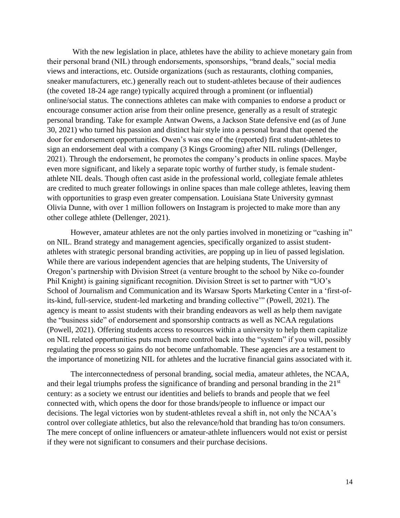With the new legislation in place, athletes have the ability to achieve monetary gain from their personal brand (NIL) through endorsements, sponsorships, "brand deals," social media views and interactions, etc. Outside organizations (such as restaurants, clothing companies, sneaker manufacturers, etc.) generally reach out to student-athletes because of their audiences (the coveted 18-24 age range) typically acquired through a prominent (or influential) online/social status. The connections athletes can make with companies to endorse a product or encourage consumer action arise from their online presence, generally as a result of strategic personal branding. Take for example Antwan Owens, a Jackson State defensive end (as of June 30, 2021) who turned his passion and distinct hair style into a personal brand that opened the door for endorsement opportunities. Owen's was one of the (reported) first student-athletes to sign an endorsement deal with a company (3 Kings Grooming) after NIL rulings (Dellenger, 2021). Through the endorsement, he promotes the company's products in online spaces. Maybe even more significant, and likely a separate topic worthy of further study, is female studentathlete NIL deals. Though often cast aside in the professional world, collegiate female athletes are credited to much greater followings in online spaces than male college athletes, leaving them with opportunities to grasp even greater compensation. Louisiana State University gymnast Olivia Dunne, with over 1 million followers on Instagram is projected to make more than any other college athlete (Dellenger, 2021).

However, amateur athletes are not the only parties involved in monetizing or "cashing in" on NIL. Brand strategy and management agencies, specifically organized to assist studentathletes with strategic personal branding activities, are popping up in lieu of passed legislation. While there are various independent agencies that are helping students, The University of Oregon's partnership with Division Street (a venture brought to the school by Nike co-founder Phil Knight) is gaining significant recognition. Division Street is set to partner with "UO's School of Journalism and Communication and its Warsaw Sports Marketing Center in a 'first-ofits-kind, full-service, student-led marketing and branding collective'" (Powell, 2021). The agency is meant to assist students with their branding endeavors as well as help them navigate the "business side" of endorsement and sponsorship contracts as well as NCAA regulations (Powell, 2021). Offering students access to resources within a university to help them capitalize on NIL related opportunities puts much more control back into the "system" if you will, possibly regulating the process so gains do not become unfathomable. These agencies are a testament to the importance of monetizing NIL for athletes and the lucrative financial gains associated with it.

The interconnectedness of personal branding, social media, amateur athletes, the NCAA, and their legal triumphs profess the significance of branding and personal branding in the 21<sup>st</sup> century: as a society we entrust our identities and beliefs to brands and people that we feel connected with, which opens the door for those brands/people to influence or impact our decisions. The legal victories won by student-athletes reveal a shift in, not only the NCAA's control over collegiate athletics, but also the relevance/hold that branding has to/on consumers. The mere concept of online influencers or amateur-athlete influencers would not exist or persist if they were not significant to consumers and their purchase decisions.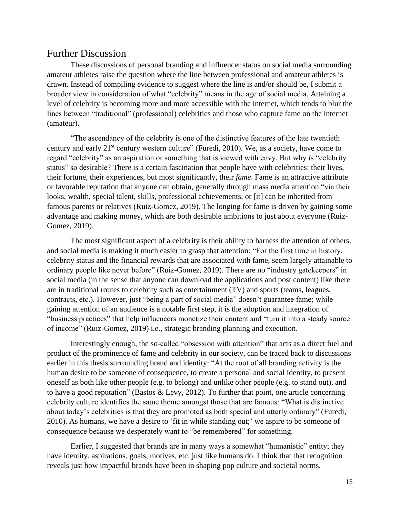#### <span id="page-15-0"></span>Further Discussion

These discussions of personal branding and influencer status on social media surrounding amateur athletes raise the question where the line between professional and amateur athletes is drawn. Instead of compiling evidence to suggest where the line is and/or should be, I submit a broader view in consideration of what "celebrity" means in the age of social media. Attaining a level of celebrity is becoming more and more accessible with the internet, which tends to blur the lines between "traditional" (professional) celebrities and those who capture fame on the internet (amateur).

"The ascendancy of the celebrity is one of the distinctive features of the late twentieth century and early 21st century western culture" (Furedi, 2010). We, as a society, have come to regard "celebrity" as an aspiration or something that is viewed with envy. But why is "celebrity status" so desirable? There is a certain fascination that people have with celebrities: their lives, their fortune, their experiences, but most significantly, their *fame*. Fame is an attractive attribute or favorable reputation that anyone can obtain, generally through mass media attention "via their looks, wealth, special talent, skills, professional achievements, or [it] can be inherited from famous parents or relatives (Ruiz-Gomez, 2019). The longing for fame is driven by gaining some advantage and making money, which are both desirable ambitions to just about everyone (Ruiz-Gomez, 2019).

The most significant aspect of a celebrity is their ability to harness the attention of others, and social media is making it much easier to grasp that attention: "For the first time in history, celebrity status and the financial rewards that are associated with fame, seem largely attainable to ordinary people like never before" (Ruiz-Gomez, 2019). There are no "industry gatekeepers" in social media (in the sense that anyone can download the applications and post content) like there are in traditional routes to celebrity such as entertainment (TV) and sports (teams, leagues, contracts, etc.). However, just "being a part of social media" doesn't guarantee fame; while gaining attention of an audience is a notable first step, it is the adoption and integration of "business practices" that help influencers monetize their content and "turn it into a steady source of income" (Ruiz-Gomez, 2019) i.e., strategic branding planning and execution.

Interestingly enough, the so-called "obsession with attention" that acts as a direct fuel and product of the prominence of fame and celebrity in our society, can be traced back to discussions earlier in this thesis surrounding brand and identity: "At the root of all branding activity is the human desire to be someone of consequence, to create a personal and social identity, to present oneself as both like other people (e.g. to belong) and unlike other people (e.g. to stand out), and to have a good reputation" (Bastos & Levy, 2012). To further that point, one article concerning celebrity culture identifies the same theme amongst those that are famous: "What is distinctive about today's celebrities is that they are promoted as both special and utterly ordinary" (Furedi, 2010). As humans, we have a desire to 'fit in while standing out;' we aspire to be someone of consequence because we desperately want to "be remembered" for something.

Earlier, I suggested that brands are in many ways a somewhat "humanistic" entity; they have identity, aspirations, goals, motives, etc. just like humans do. I think that that recognition reveals just how impactful brands have been in shaping pop culture and societal norms.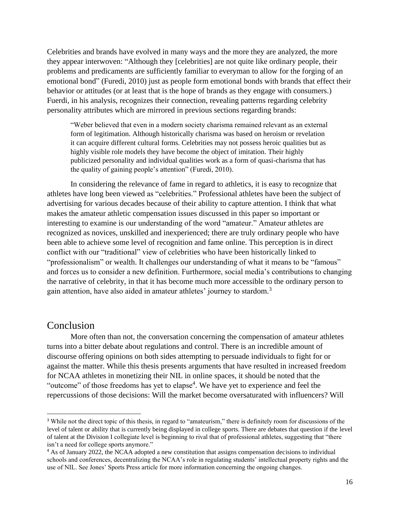Celebrities and brands have evolved in many ways and the more they are analyzed, the more they appear interwoven: "Although they [celebrities] are not quite like ordinary people, their problems and predicaments are sufficiently familiar to everyman to allow for the forging of an emotional bond" (Furedi, 2010) just as people form emotional bonds with brands that effect their behavior or attitudes (or at least that is the hope of brands as they engage with consumers.) Fuerdi, in his analysis, recognizes their connection, revealing patterns regarding celebrity personality attributes which are mirrored in previous sections regarding brands:

"Weber believed that even in a modern society charisma remained relevant as an external form of legitimation. Although historically charisma was based on heroism or revelation it can acquire different cultural forms. Celebrities may not possess heroic qualities but as highly visible role models they have become the object of imitation. Their highly publicized personality and individual qualities work as a form of quasi-charisma that has the quality of gaining people's attention" (Furedi, 2010).

In considering the relevance of fame in regard to athletics, it is easy to recognize that athletes have long been viewed as "celebrities." Professional athletes have been the subject of advertising for various decades because of their ability to capture attention. I think that what makes the amateur athletic compensation issues discussed in this paper so important or interesting to examine is our understanding of the word "amateur." Amateur athletes are recognized as novices, unskilled and inexperienced; there are truly ordinary people who have been able to achieve some level of recognition and fame online. This perception is in direct conflict with our "traditional" view of celebrities who have been historically linked to "professionalism" or wealth. It challenges our understanding of what it means to be "famous" and forces us to consider a new definition. Furthermore, social media's contributions to changing the narrative of celebrity, in that it has become much more accessible to the ordinary person to gain attention, have also aided in amateur athletes' journey to stardom.<sup>3</sup>

#### <span id="page-16-0"></span>Conclusion

More often than not, the conversation concerning the compensation of amateur athletes turns into a bitter debate about regulations and control. There is an incredible amount of discourse offering opinions on both sides attempting to persuade individuals to fight for or against the matter. While this thesis presents arguments that have resulted in increased freedom for NCAA athletes in monetizing their NIL in online spaces, it should be noted that the "outcome" of those freedoms has yet to elapse<sup>4</sup>. We have yet to experience and feel the repercussions of those decisions: Will the market become oversaturated with influencers? Will

<sup>&</sup>lt;sup>3</sup> While not the direct topic of this thesis, in regard to "amateurism," there is definitely room for discussions of the level of talent or ability that is currently being displayed in college sports. There are debates that question if the level of talent at the Division I collegiate level is beginning to rival that of professional athletes, suggesting that "there isn't a need for college sports anymore."

<sup>4</sup> As of January 2022, the NCAA adopted a new constitution that assigns compensation decisions to individual schools and conferences, decentralizing the NCAA's role in regulating students' intellectual property rights and the use of NIL. See Jones' Sports Press article for more information concerning the ongoing changes.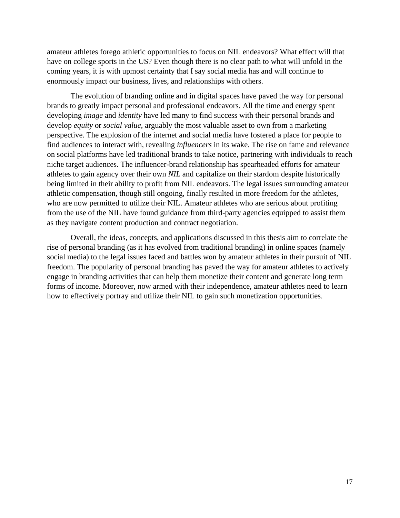amateur athletes forego athletic opportunities to focus on NIL endeavors? What effect will that have on college sports in the US? Even though there is no clear path to what will unfold in the coming years, it is with upmost certainty that I say social media has and will continue to enormously impact our business, lives, and relationships with others.

The evolution of branding online and in digital spaces have paved the way for personal brands to greatly impact personal and professional endeavors. All the time and energy spent developing *image* and *identity* have led many to find success with their personal brands and develop *equity* or *social value*, arguably the most valuable asset to own from a marketing perspective. The explosion of the internet and social media have fostered a place for people to find audiences to interact with, revealing *influencers* in its wake. The rise on fame and relevance on social platforms have led traditional brands to take notice, partnering with individuals to reach niche target audiences. The influencer-brand relationship has spearheaded efforts for amateur athletes to gain agency over their own *NIL* and capitalize on their stardom despite historically being limited in their ability to profit from NIL endeavors. The legal issues surrounding amateur athletic compensation, though still ongoing, finally resulted in more freedom for the athletes, who are now permitted to utilize their NIL. Amateur athletes who are serious about profiting from the use of the NIL have found guidance from third-party agencies equipped to assist them as they navigate content production and contract negotiation.

Overall, the ideas, concepts, and applications discussed in this thesis aim to correlate the rise of personal branding (as it has evolved from traditional branding) in online spaces (namely social media) to the legal issues faced and battles won by amateur athletes in their pursuit of NIL freedom. The popularity of personal branding has paved the way for amateur athletes to actively engage in branding activities that can help them monetize their content and generate long term forms of income. Moreover, now armed with their independence, amateur athletes need to learn how to effectively portray and utilize their NIL to gain such monetization opportunities.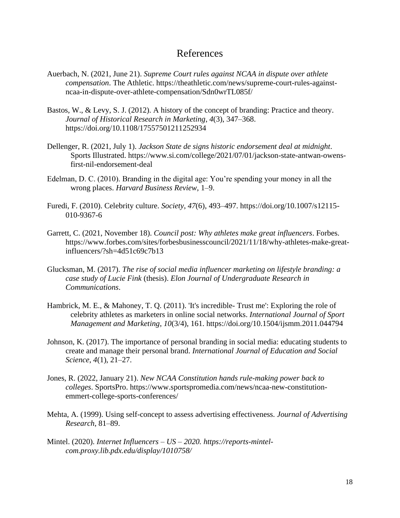#### References

- <span id="page-18-0"></span>Auerbach, N. (2021, June 21). *Supreme Court rules against NCAA in dispute over athlete compensation*. The Athletic. https://theathletic.com/news/supreme-court-rules-againstncaa-in-dispute-over-athlete-compensation/Sdn0wrTL085f/
- Bastos, W., & Levy, S. J. (2012). A history of the concept of branding: Practice and theory. *Journal of Historical Research in Marketing*, *4*(3), 347–368. https://doi.org/10.1108/17557501211252934
- Dellenger, R. (2021, July 1). *Jackson State de signs historic endorsement deal at midnight*. Sports Illustrated. https://www.si.com/college/2021/07/01/jackson-state-antwan-owensfirst-nil-endorsement-deal
- Edelman, D. C. (2010). Branding in the digital age: You're spending your money in all the wrong places. *Harvard Business Review*, 1–9.
- Furedi, F. (2010). Celebrity culture. *Society*, *47*(6), 493–497. https://doi.org/10.1007/s12115- 010-9367-6
- Garrett, C. (2021, November 18). *Council post: Why athletes make great influencers*. Forbes. https://www.forbes.com/sites/forbesbusinesscouncil/2021/11/18/why-athletes-make-greatinfluencers/?sh=4d51c69c7b13
- Glucksman, M. (2017). *The rise of social media influencer marketing on lifestyle branding: a case study of Lucie Fink* (thesis). *Elon Journal of Undergraduate Research in Communications*.
- Hambrick, M. E., & Mahoney, T. Q. (2011). 'It's incredible- Trust me': Exploring the role of celebrity athletes as marketers in online social networks. *International Journal of Sport Management and Marketing*, *10*(3/4), 161. https://doi.org/10.1504/ijsmm.2011.044794
- Johnson, K. (2017). The importance of personal branding in social media: educating students to create and manage their personal brand. *International Journal of Education and Social Science*, *4*(1), 21–27.
- Jones, R. (2022, January 21). *New NCAA Constitution hands rule-making power back to colleges*. SportsPro. https://www.sportspromedia.com/news/ncaa-new-constitutionemmert-college-sports-conferences/
- Mehta, A. (1999). Using self-concept to assess advertising effectiveness. *Journal of Advertising Research*, 81–89.
- Mintel. (2020). *Internet Influencers – US – 2020. https://reports-mintelcom.proxy.lib.pdx.edu/display/1010758/*